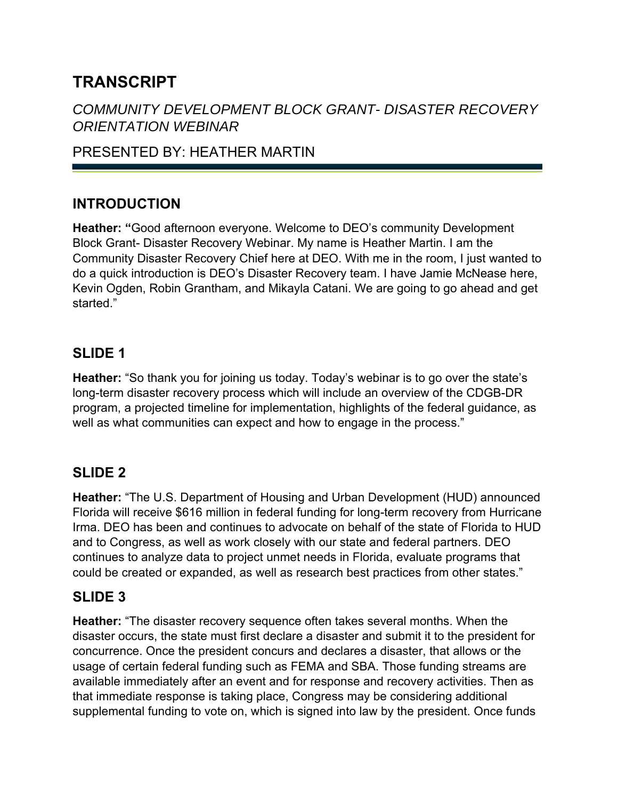# **TRANSCRIPT**

# *COMMUNITY DEVELOPMENT BLOCK GRANT- DISASTER RECOVERY ORIENTATION WEBINAR*

# PRESENTED BY: HEATHER MARTIN

# **INTRODUCTION**

**Heather: "**Good afternoon everyone. Welcome to DEO's community Development Block Grant- Disaster Recovery Webinar. My name is Heather Martin. I am the Community Disaster Recovery Chief here at DEO. With me in the room, I just wanted to do a quick introduction is DEO's Disaster Recovery team. I have Jamie McNease here, Kevin Ogden, Robin Grantham, and Mikayla Catani. We are going to go ahead and get started."

## **SLIDE 1**

**Heather:** "So thank you for joining us today. Today's webinar is to go over the state's long-term disaster recovery process which will include an overview of the CDGB-DR program, a projected timeline for implementation, highlights of the federal guidance, as well as what communities can expect and how to engage in the process."

# **SLIDE 2**

**Heather:** "The U.S. Department of Housing and Urban Development (HUD) announced Florida will receive \$616 million in federal funding for long-term recovery from Hurricane Irma. DEO has been and continues to advocate on behalf of the state of Florida to HUD and to Congress, as well as work closely with our state and federal partners. DEO continues to analyze data to project unmet needs in Florida, evaluate programs that could be created or expanded, as well as research best practices from other states."

## **SLIDE 3**

**Heather:** "The disaster recovery sequence often takes several months. When the disaster occurs, the state must first declare a disaster and submit it to the president for concurrence. Once the president concurs and declares a disaster, that allows or the usage of certain federal funding such as FEMA and SBA. Those funding streams are available immediately after an event and for response and recovery activities. Then as that immediate response is taking place, Congress may be considering additional supplemental funding to vote on, which is signed into law by the president. Once funds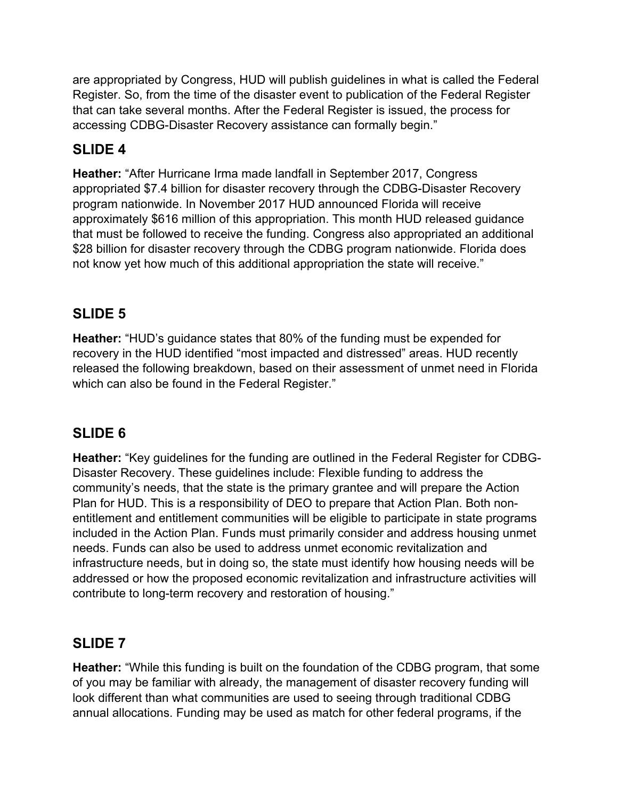are appropriated by Congress, HUD will publish guidelines in what is called the Federal Register. So, from the time of the disaster event to publication of the Federal Register that can take several months. After the Federal Register is issued, the process for accessing CDBG-Disaster Recovery assistance can formally begin."

# **SLIDE 4**

**Heather:** "After Hurricane Irma made landfall in September 2017, Congress appropriated \$7.4 billion for disaster recovery through the CDBG-Disaster Recovery program nationwide. In November 2017 HUD announced Florida will receive approximately \$616 million of this appropriation. This month HUD released guidance that must be followed to receive the funding. Congress also appropriated an additional \$28 billion for disaster recovery through the CDBG program nationwide. Florida does not know yet how much of this additional appropriation the state will receive."

#### **SLIDE 5**

**Heather:** "HUD's guidance states that 80% of the funding must be expended for recovery in the HUD identified "most impacted and distressed" areas. HUD recently released the following breakdown, based on their assessment of unmet need in Florida which can also be found in the Federal Register."

## **SLIDE 6**

**Heather:** "Key guidelines for the funding are outlined in the Federal Register for CDBG-Disaster Recovery. These guidelines include: Flexible funding to address the community's needs, that the state is the primary grantee and will prepare the Action Plan for HUD. This is a responsibility of DEO to prepare that Action Plan. Both nonentitlement and entitlement communities will be eligible to participate in state programs included in the Action Plan. Funds must primarily consider and address housing unmet needs. Funds can also be used to address unmet economic revitalization and infrastructure needs, but in doing so, the state must identify how housing needs will be addressed or how the proposed economic revitalization and infrastructure activities will contribute to long-term recovery and restoration of housing."

#### **SLIDE 7**

**Heather:** "While this funding is built on the foundation of the CDBG program, that some of you may be familiar with already, the management of disaster recovery funding will look different than what communities are used to seeing through traditional CDBG annual allocations. Funding may be used as match for other federal programs, if the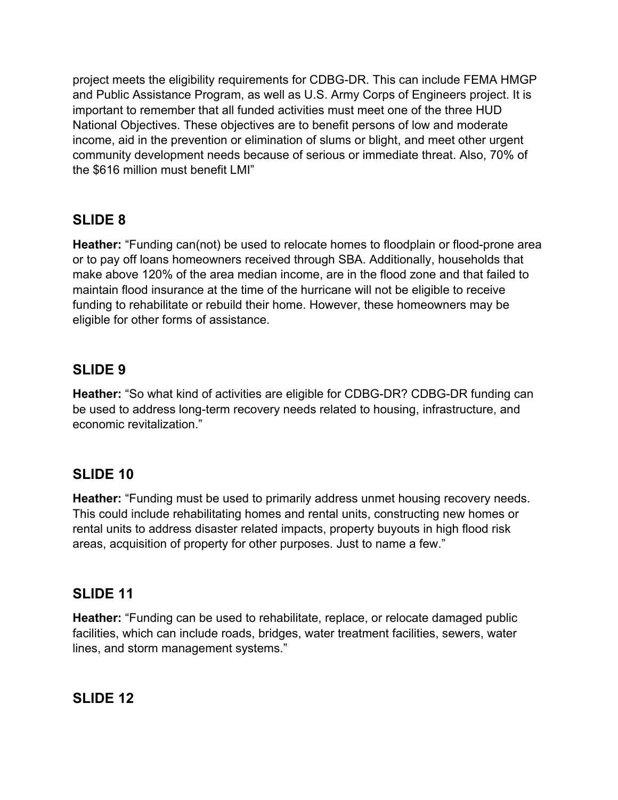project meets the eligibility requirements for CDBG-DR. This can include FEMA HMGP and Public Assistance Program, as well as U.S. Army Corps of Engineers project. It is important to remember that all funded activities must meet one of the three HUD National Objectives. These objectives are to benefit persons of low and moderate income, aid in the prevention or elimination of slums or blight, and meet other urgent community development needs because of serious or immediate threat. Also, 70% of the \$616 million must benefit LMI"

## **SLIDE 8**

**Heather:** "Funding can(not) be used to relocate homes to floodplain or flood-prone area or to pay off loans homeowners received through SBA. Additionally, households that make above 120% of the area median income, are in the flood zone and that failed to maintain flood insurance at the time of the hurricane will not be eligible to receive funding to rehabilitate or rebuild their home. However, these homeowners may be eligible for other forms of assistance.

## **SLIDE 9**

**Heather:** "So what kind of activities are eligible for CDBG-DR? CDBG-DR funding can be used to address long-term recovery needs related to housing, infrastructure, and economic revitalization."

## **SLIDE 10**

**Heather:** "Funding must be used to primarily address unmet housing recovery needs. This could include rehabilitating homes and rental units, constructing new homes or rental units to address disaster related impacts, property buyouts in high flood risk areas, acquisition of property for other purposes. Just to name a few."

## **SLIDE 11**

**Heather:** "Funding can be used to rehabilitate, replace, or relocate damaged public facilities, which can include roads, bridges, water treatment facilities, sewers, water lines, and storm management systems."

#### **SLIDE 12**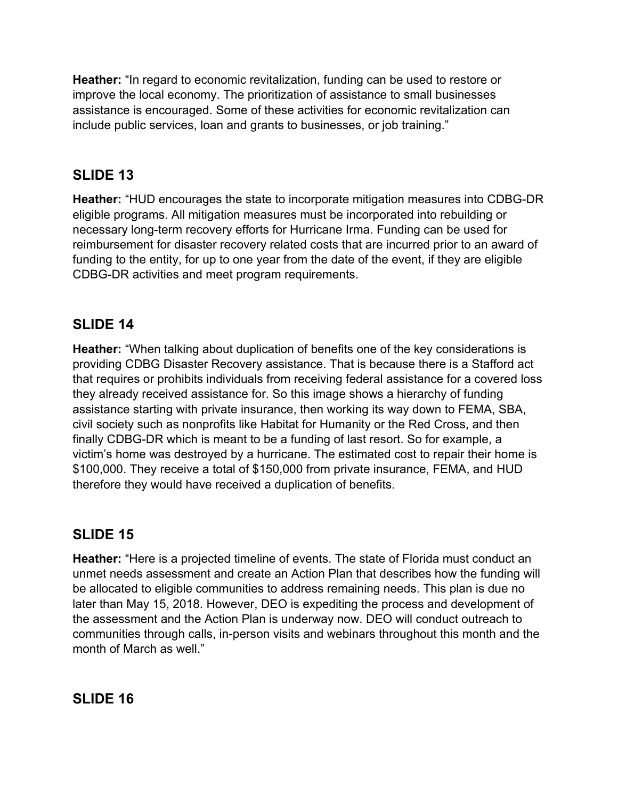**Heather:** "In regard to economic revitalization, funding can be used to restore or improve the local economy. The prioritization of assistance to small businesses assistance is encouraged. Some of these activities for economic revitalization can include public services, loan and grants to businesses, or job training."

#### **SLIDE 13**

**Heather:** "HUD encourages the state to incorporate mitigation measures into CDBG-DR eligible programs. All mitigation measures must be incorporated into rebuilding or necessary long-term recovery efforts for Hurricane Irma. Funding can be used for reimbursement for disaster recovery related costs that are incurred prior to an award of funding to the entity, for up to one year from the date of the event, if they are eligible CDBG-DR activities and meet program requirements.

#### **SLIDE 14**

**Heather:** "When talking about duplication of benefits one of the key considerations is providing CDBG Disaster Recovery assistance. That is because there is a Stafford act that requires or prohibits individuals from receiving federal assistance for a covered loss they already received assistance for. So this image shows a hierarchy of funding assistance starting with private insurance, then working its way down to FEMA, SBA, civil society such as nonprofits like Habitat for Humanity or the Red Cross, and then finally CDBG-DR which is meant to be a funding of last resort. So for example, a victim's home was destroyed by a hurricane. The estimated cost to repair their home is \$100,000. They receive a total of \$150,000 from private insurance, FEMA, and HUD therefore they would have received a duplication of benefits.

## **SLIDE 15**

**Heather:** "Here is a projected timeline of events. The state of Florida must conduct an unmet needs assessment and create an Action Plan that describes how the funding will be allocated to eligible communities to address remaining needs. This plan is due no later than May 15, 2018. However, DEO is expediting the process and development of the assessment and the Action Plan is underway now. DEO will conduct outreach to communities through calls, in-person visits and webinars throughout this month and the month of March as well."

## **SLIDE 16**